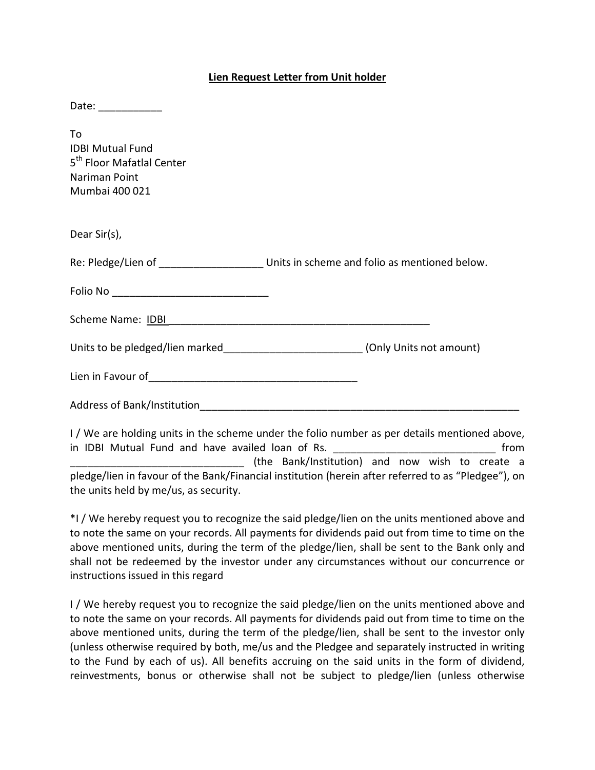## **Lien Request Letter from Unit holder**

| Date: ____________                                                                                        |                                                                                            |
|-----------------------------------------------------------------------------------------------------------|--------------------------------------------------------------------------------------------|
| To<br><b>IDBI Mutual Fund</b><br>5 <sup>th</sup> Floor Mafatlal Center<br>Nariman Point<br>Mumbai 400 021 |                                                                                            |
| Dear Sir(s),                                                                                              |                                                                                            |
|                                                                                                           | Re: Pledge/Lien of _________________________ Units in scheme and folio as mentioned below. |
|                                                                                                           |                                                                                            |
|                                                                                                           |                                                                                            |
|                                                                                                           | Units to be pledged/lien marked_________________________(Only Units not amount)            |
|                                                                                                           |                                                                                            |
|                                                                                                           |                                                                                            |
|                                                                                                           |                                                                                            |

I / We are holding units in the scheme under the folio number as per details mentioned above, in IDBI Mutual Fund and have availed loan of Rs. **Example 2018** 100 minutes \_\_\_\_\_\_\_\_\_\_\_\_\_\_\_\_\_\_\_\_\_\_\_\_\_\_\_\_\_\_ (the Bank/Institution) and now wish to create a pledge/lien in favour of the Bank/Financial institution (herein after referred to as "Pledgee"), on the units held by me/us, as security.

\*I / We hereby request you to recognize the said pledge/lien on the units mentioned above and to note the same on your records. All payments for dividends paid out from time to time on the above mentioned units, during the term of the pledge/lien, shall be sent to the Bank only and shall not be redeemed by the investor under any circumstances without our concurrence or instructions issued in this regard

I / We hereby request you to recognize the said pledge/lien on the units mentioned above and to note the same on your records. All payments for dividends paid out from time to time on the above mentioned units, during the term of the pledge/lien, shall be sent to the investor only (unless otherwise required by both, me/us and the Pledgee and separately instructed in writing to the Fund by each of us). All benefits accruing on the said units in the form of dividend, reinvestments, bonus or otherwise shall not be subject to pledge/lien (unless otherwise